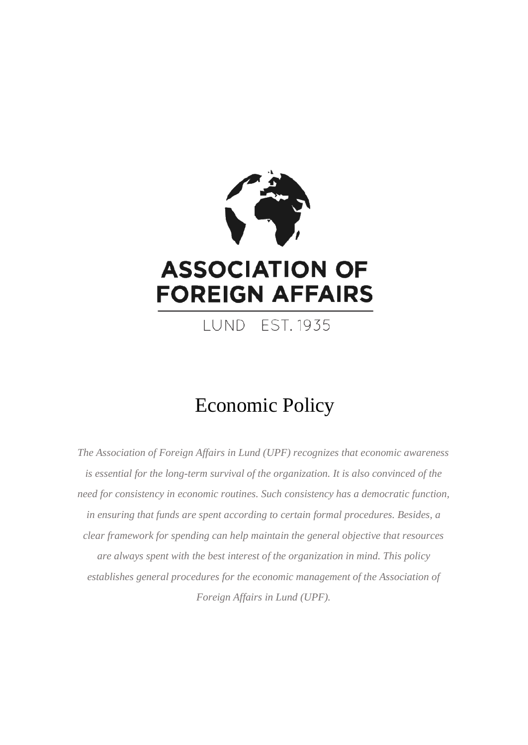

**FOREIGN AFFAIRS** 

**I UND FST 1935** 

# Economic Policy

*The Association of Foreign Affairs in Lund (UPF) recognizes that economic awareness is essential for the long-term survival of the organization. It is also convinced of the need for consistency in economic routines. Such consistency has a democratic function, in ensuring that funds are spent according to certain formal procedures. Besides, a clear framework for spending can help maintain the general objective that resources are always spent with the best interest of the organization in mind. This policy establishes general procedures for the economic management of the Association of Foreign Affairs in Lund (UPF).*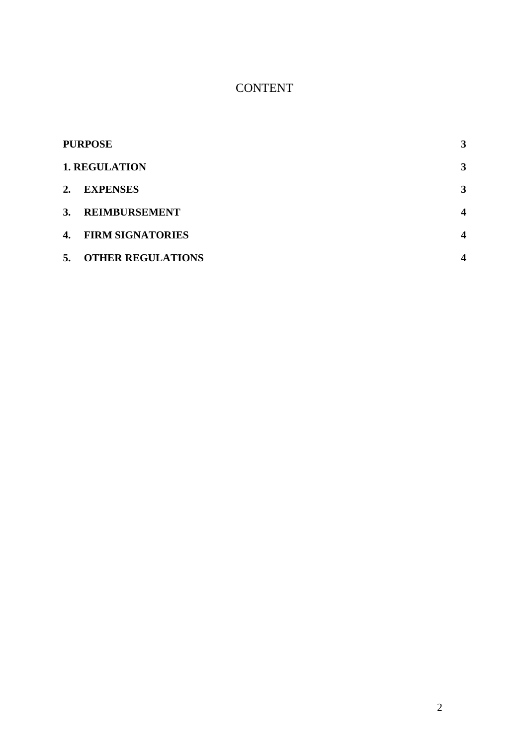# CONTENT

| <b>PURPOSE</b> |                          | 3                       |
|----------------|--------------------------|-------------------------|
|                | <b>1. REGULATION</b>     | 3                       |
| 2.             | <b>EXPENSES</b>          | 3                       |
| 3.             | <b>REIMBURSEMENT</b>     | $\overline{\mathbf{4}}$ |
|                | 4. FIRM SIGNATORIES      | $\overline{\mathbf{4}}$ |
| 5.             | <b>OTHER REGULATIONS</b> | 4                       |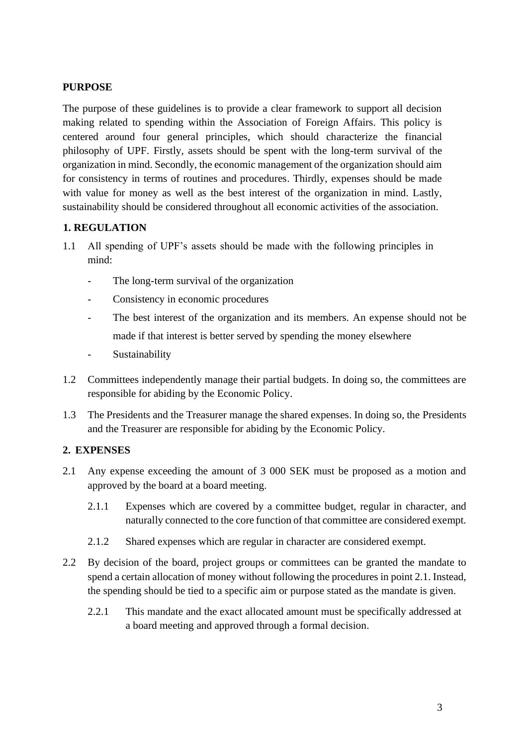## <span id="page-2-0"></span>**PURPOSE**

The purpose of these guidelines is to provide a clear framework to support all decision making related to spending within the Association of Foreign Affairs. This policy is centered around four general principles, which should characterize the financial philosophy of UPF. Firstly, assets should be spent with the long-term survival of the organization in mind. Secondly, the economic management of the organization should aim for consistency in terms of routines and procedures. Thirdly, expenses should be made with value for money as well as the best interest of the organization in mind. Lastly, sustainability should be considered throughout all economic activities of the association.

#### <span id="page-2-1"></span>**1. REGULATION**

- 1.1 All spending of UPF's assets should be made with the following principles in mind:
	- The long-term survival of the organization
	- Consistency in economic procedures
	- The best interest of the organization and its members. An expense should not be made if that interest is better served by spending the money elsewhere
	- Sustainability
- 1.2 Committees independently manage their partial budgets. In doing so, the committees are responsible for abiding by the Economic Policy.
- 1.3 The Presidents and the Treasurer manage the shared expenses. In doing so, the Presidents and the Treasurer are responsible for abiding by the Economic Policy.

# <span id="page-2-2"></span>**2. EXPENSES**

- 2.1 Any expense exceeding the amount of 3 000 SEK must be proposed as a motion and approved by the board at a board meeting.
	- 2.1.1 Expenses which are covered by a committee budget, regular in character, and naturally connected to the core function of that committee are considered exempt.
	- 2.1.2 Shared expenses which are regular in character are considered exempt.
- 2.2 By decision of the board, project groups or committees can be granted the mandate to spend a certain allocation of money without following the procedures in point 2.1. Instead, the spending should be tied to a specific aim or purpose stated as the mandate is given.
	- 2.2.1 This mandate and the exact allocated amount must be specifically addressed at a board meeting and approved through a formal decision.